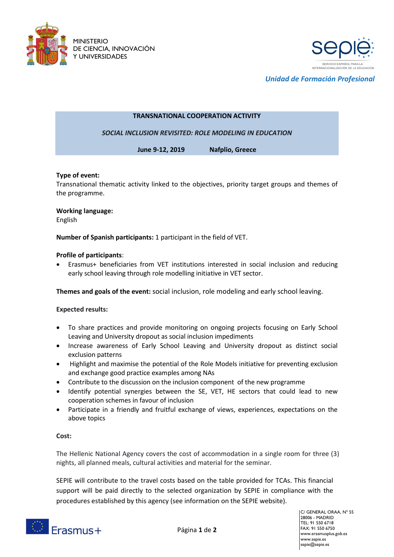



*Unidad de Formación Profesional*

# **TRANSNATIONAL COOPERATION ACTIVITY**

*SOCIAL INCLUSION REVISITED: ROLE MODELING IN EDUCATION*

**June 9-12, 2019 Nafplio, Greece**

## **Type of event:**

Transnational thematic activity linked to the objectives, priority target groups and themes of the programme.

### **Working language:**

English

**Number of Spanish participants:** 1 participant in the field of VET.

### **Profile of participants**:

 Erasmus+ beneficiaries from VET institutions interested in social inclusion and reducing early school leaving through role modelling initiative in VET sector.

**Themes and goals of the event:** social inclusion, role modeling and early school leaving.

## **Expected results:**

- To share practices and provide monitoring on ongoing projects focusing on Early School Leaving and University dropout as social inclusion impediments
- Increase awareness of Early School Leaving and University dropout as distinct social exclusion patterns
- Highlight and maximise the potential of the Role Models initiative for preventing exclusion and exchange good practice examples among NAs
- Contribute to the discussion on the inclusion component of the new programme
- Identify potential synergies between the SE, VET, HE sectors that could lead to new cooperation schemes in favour of inclusion
- Participate in a friendly and fruitful exchange of views, experiences, expectations on the above topics

## **Cost:**

The Hellenic National Agency covers the cost of accommodation in a single room for three (3) nights, all planned meals, cultural activities and material for the seminar.

SEPIE will contribute to the travel costs based on the table provided for TCAs. This financial support will be paid directly to the selected organization by SEPIE in compliance with the procedures established by this agency (see information on the SEPIE website).